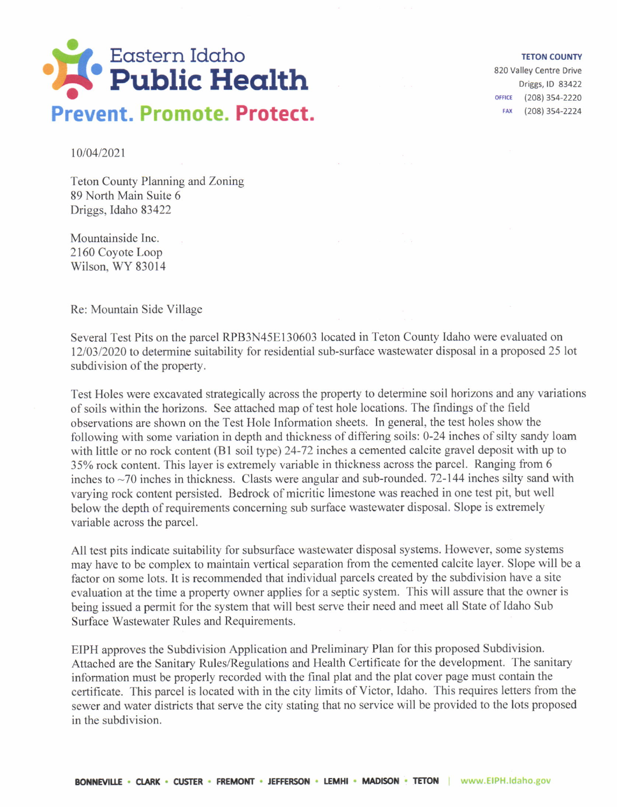

## TETON COUNTY

820 Valley Centre Drive Driggs, lD 83422 OFFICE (208) 354-2220 FAX (208) 354-2224

t0/04/2021

Teton County Planning and Zoning 89 North Main Suite 6 Driggs, Idaho 83422

Mountainside Inc. 2160 Coyote Loop Wilson, WY 83014

Re: Mountain Side Village

Several Test Pits on the parcel RPB3N45E130603 located in Teton County Idaho were evaluated on 1210312020 to determine suitability for residential sub-surface wastewater disposal in a proposed 25 lot subdivision of the property.

Test Holes were excavated strategically across the property to determine soil horizons and any variations of soils within the horizons. See attached map of test hole locations. The findings of the field observations are shown on the Test Hole Information sheets. In general, the test holes show the following with some variation in depth and thickness of differing soils: 0-24 inches of silty sandy loam with little or no rock content (B1 soil type) 24-72 inches a cemented calcite gravel deposit with up to 35% rock content. This layer is extremely variable in thickness across the parcel. Ranging from 6 inches to  $\sim$ 70 inches in thickness. Clasts were angular and sub-rounded. 72-144 inches silty sand with varying rock content persisted. Bedrock of micritic limestone was reached in one test pit, but well below the depth of requirements conceming sub surface wastewater disposal. Slope is extremely variable across the parcel.

All test pits indicate suitability for subsurface wastewater disposal systems. However, some systems may have to be complex to maintain vertical separation from the cemented calcite layer. Slope will be <sup>a</sup> factor on some lots. It is recommended that individual parcels created by the subdivision have a site evaluation at the time a property owner applies for a septic system. This will assure that the owner is being issued a permit for the system that will best serve their need and meet all State of Idaho Sub Surface Wastewater Rules and Requirements.

EIPH approves the Subdivision Application and Preliminary Plan for this proposed Subdivision. Attached are the Sanitary Rules/Regulations and Health Certificate for the development. The sanitary information must be properly recorded with the final plat and the plat cover page must contain the certificate. This parcel is located with in the city limits of Victor, Idaho. This requires letters from the sewer and water districts that serve the city stating that no service will be provided to the lots proposed in the subdivision.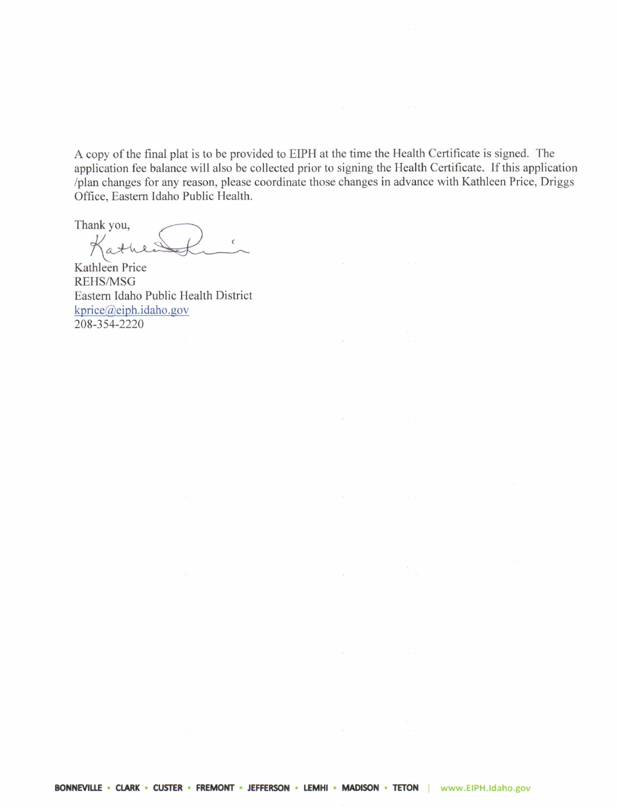A copy of the final plat is to be provided to EIPH at the time the Health Certificate is signed. The application fee balance will also be collected prior to signing the Health Certificate. If this application /plan changes for any reason, please coordinate those changes in advance with Karhleen Price, Driggs Office. Eastem Idaho Public Health.

Thank you, Kathle

Kathleen Price REHS/MSG Easrem Idaho Public Health District  $kprice@eiph.idaho.gov$ 208-354-2220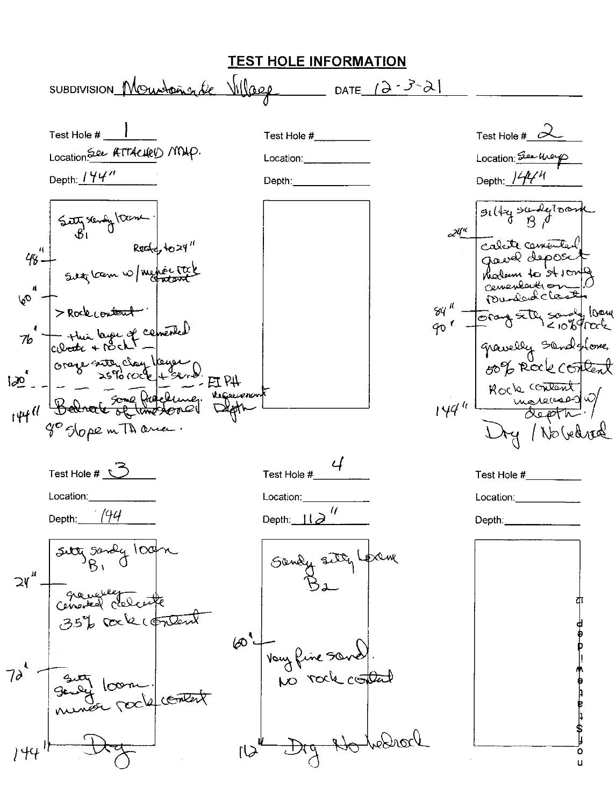